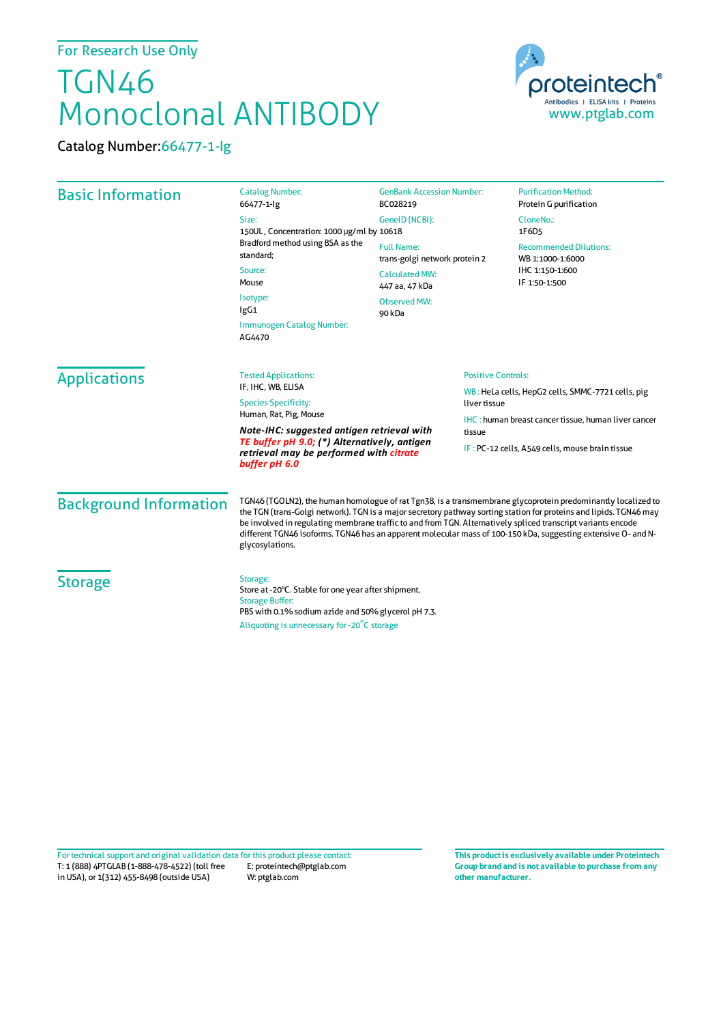## For Research Use Only

## TGN46 Monoclonal ANTIBODY

Catalog Number:66477-1-Ig



| <b>Basic Information</b>                                                                                 | <b>Catalog Number:</b><br>66477-1-lg                                                                                                                                                                                                                                                                                                                                                                                                                                                   | <b>GenBank Accession Number:</b><br>BC028219                                                                            | <b>Purification Method:</b><br>Protein G purification                                 |                     |                                                                      |              |                                                            |  |
|----------------------------------------------------------------------------------------------------------|----------------------------------------------------------------------------------------------------------------------------------------------------------------------------------------------------------------------------------------------------------------------------------------------------------------------------------------------------------------------------------------------------------------------------------------------------------------------------------------|-------------------------------------------------------------------------------------------------------------------------|---------------------------------------------------------------------------------------|---------------------|----------------------------------------------------------------------|--------------|------------------------------------------------------------|--|
|                                                                                                          | Size:<br>150UL, Concentration: 1000 µg/ml by 10618<br>Bradford method using BSA as the<br>standard:<br>Source:<br>Mouse<br>Isotype:<br>IgG1<br>Immunogen Catalog Number:<br>AG4470                                                                                                                                                                                                                                                                                                     | GeneID (NCBI):                                                                                                          | CloneNo.:<br>1F6D5                                                                    |                     |                                                                      |              |                                                            |  |
|                                                                                                          |                                                                                                                                                                                                                                                                                                                                                                                                                                                                                        | <b>Full Name:</b><br>trans-golgi network protein 2<br><b>Calculated MW:</b><br>447 aa, 47 kDa<br>Observed MW:<br>90 kDa | <b>Recommended Dilutions:</b><br>WB 1:1000-1:6000<br>IHC 1:150-1:600<br>IF 1:50-1:500 |                     |                                                                      |              |                                                            |  |
|                                                                                                          |                                                                                                                                                                                                                                                                                                                                                                                                                                                                                        |                                                                                                                         |                                                                                       | <b>Applications</b> | <b>Positive Controls:</b><br><b>Tested Applications:</b>             |              |                                                            |  |
|                                                                                                          |                                                                                                                                                                                                                                                                                                                                                                                                                                                                                        |                                                                                                                         |                                                                                       |                     | IF, IHC, WB, ELISA<br><b>Species Specificity:</b>                    | liver tissue | WB: HeLa cells, HepG2 cells, SMMC-7721 cells, pig          |  |
|                                                                                                          |                                                                                                                                                                                                                                                                                                                                                                                                                                                                                        |                                                                                                                         |                                                                                       |                     | Human, Rat, Pig, Mouse<br>Note-IHC: suggested antigen retrieval with |              | <b>IHC:</b> human breast cancer tissue, human liver cancer |  |
| TE buffer pH 9.0; (*) Alternatively, antigen<br>retrieval may be performed with citrate<br>buffer pH 6.0 | tissue                                                                                                                                                                                                                                                                                                                                                                                                                                                                                 | IF: PC-12 cells, A549 cells, mouse brain tissue                                                                         |                                                                                       |                     |                                                                      |              |                                                            |  |
| <b>Background Information</b>                                                                            | TGN46 (TGOLN2), the human homologue of rat Tgn38, is a transmembrane glycoprotein predominantly localized to<br>the TGN (trans-Golgi network). TGN is a major secretory pathway sorting station for proteins and lipids. TGN46 may<br>be involved in regulating membrane traffic to and from TGN. Alternatively spliced transcript variants encode<br>different TGN46 isoforms. TGN46 has an apparent molecular mass of 100-150 kDa, suggesting extensive O- and N-<br>glycosylations. |                                                                                                                         |                                                                                       |                     |                                                                      |              |                                                            |  |
| <b>Storage</b>                                                                                           | Storage:<br>Store at -20°C. Stable for one year after shipment.<br><b>Storage Buffer:</b><br>PBS with 0.1% sodium azide and 50% glycerol pH 7.3.                                                                                                                                                                                                                                                                                                                                       |                                                                                                                         |                                                                                       |                     |                                                                      |              |                                                            |  |
|                                                                                                          | Aliquoting is unnecessary for -20°C storage                                                                                                                                                                                                                                                                                                                                                                                                                                            |                                                                                                                         |                                                                                       |                     |                                                                      |              |                                                            |  |

T: 1 (888) 4PTGLAB (1-888-478-4522) (toll free E: proteintech@ptglab.com in USA), or 1(312) 455-8498 (outside USA) W: ptglab.com Fortechnical support and original validation data forthis product please contact: **This productis exclusively available under Proteintech**

**Group brand and is not available to purchase from any other manufacturer.**